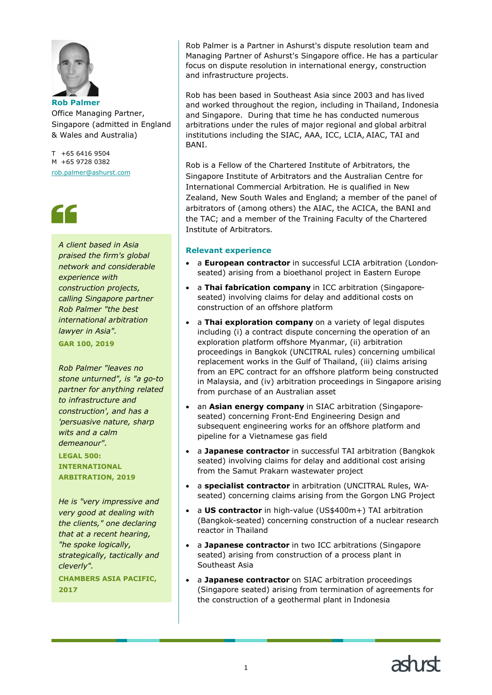

Office Managing Partner, Singapore (admitted in England & Wales and Australia)

T +65 6416 9504 M +65 9728 0382 rob.palmer@ashurst.com

## 66

*A client based in Asia praised the firm's global network and considerable experience with construction projects, calling Singapore partner Rob Palmer "the best international arbitration lawyer in Asia".* **GAR 100, 2019**

*Rob Palmer "leaves no stone unturned", is "a go-to partner for anything related to infrastructure and construction', and has a 'persuasive nature, sharp wits and a calm demeanour".*

**LEGAL 500: INTERNATIONAL ARBITRATION, 2019**

*He is "very impressive and very good at dealing with the clients," one declaring that at a recent hearing, "he spoke logically, strategically, tactically and cleverly".*

**CHAMBERS ASIA PACIFIC, 2017**

Rob Palmer is a Partner in Ashurst's dispute resolution team and Managing Partner of Ashurst's Singapore office. He has a particular focus on dispute resolution in international energy, construction and infrastructure projects.

Rob has been based in Southeast Asia since 2003 and has lived and worked throughout the region, including in Thailand, Indonesia and Singapore. During that time he has conducted numerous arbitrations under the rules of major regional and global arbitral institutions including the SIAC, AAA, ICC, LCIA, AIAC, TAI and **BANI** 

Rob is a Fellow of the Chartered Institute of Arbitrators, the Singapore Institute of Arbitrators and the Australian Centre for International Commercial Arbitration. He is qualified in New Zealand, New South Wales and England; a member of the panel of arbitrators of (among others) the AIAC, the ACICA, the BANI and the TAC; and a member of the Training Faculty of the Chartered Institute of Arbitrators.

## **Relevant experience**

- a **European contractor** in successful LCIA arbitration (Londonseated) arising from a bioethanol project in Eastern Europe
- a **Thai fabrication company** in ICC arbitration (Singaporeseated) involving claims for delay and additional costs on construction of an offshore platform
- a **Thai exploration company** on a variety of legal disputes including (i) a contract dispute concerning the operation of an exploration platform offshore Myanmar, (ii) arbitration proceedings in Bangkok (UNCITRAL rules) concerning umbilical replacement works in the Gulf of Thailand, (iii) claims arising from an EPC contract for an offshore platform being constructed in Malaysia, and (iv) arbitration proceedings in Singapore arising from purchase of an Australian asset
- an **Asian energy company** in SIAC arbitration (Singaporeseated) concerning Front-End Engineering Design and subsequent engineering works for an offshore platform and pipeline for a Vietnamese gas field
- a **Japanese contractor** in successful TAI arbitration (Bangkok seated) involving claims for delay and additional cost arising from the Samut Prakarn wastewater project
- a **specialist contractor** in arbitration (UNCITRAL Rules, WAseated) concerning claims arising from the Gorgon LNG Project
- a **US contractor** in high-value (US\$400m+) TAI arbitration (Bangkok-seated) concerning construction of a nuclear research reactor in Thailand
- a **Japanese contractor** in two ICC arbitrations (Singapore seated) arising from construction of a process plant in Southeast Asia
- a **Japanese contractor** on SIAC arbitration proceedings (Singapore seated) arising from termination of agreements for the construction of a geothermal plant in Indonesia